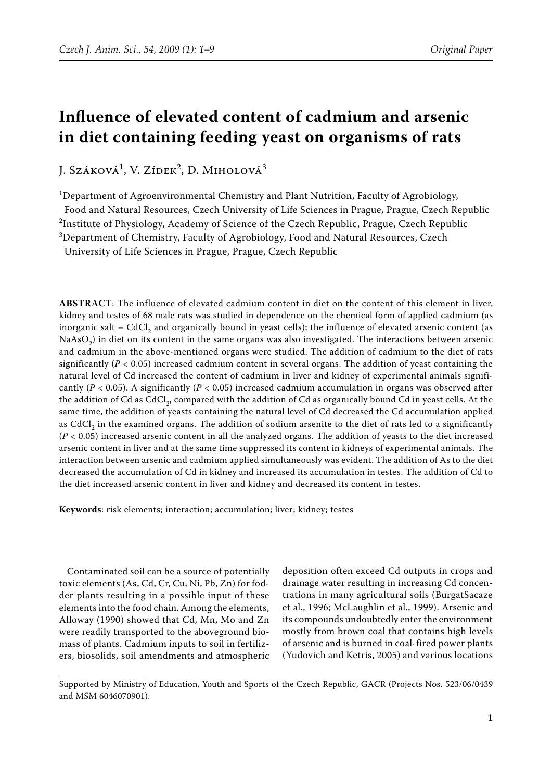# **Influence of elevated content of cadmium and arsenic in diet containing feeding yeast on organisms of rats**

J. Száková<sup>1</sup>, V. Zídek<sup>2</sup>, D. Miholová<sup>3</sup>

<sup>1</sup>Department of Agroenvironmental Chemistry and Plant Nutrition, Faculty of Agrobiology, Food and Natural Resources, Czech University of Life Sciences in Prague, Prague, Czech Republic  $^2$ Institute of Physiology, Academy of Science of the Czech Republic, Prague, Czech Republic  $^3$ Department of Chemistry, Faculty of Agrobiology, Food and Natural Resources, Czech University of Life Sciences in Prague, Prague, Czech Republic

**ABSTRACT**: The influence of elevated cadmium content in diet on the content of this element in liver, kidney and testes of 68 male rats was studied in dependence on the chemical form of applied cadmium (as inorganic salt  $-$  CdCl<sub>2</sub> and organically bound in yeast cells); the influence of elevated arsenic content (as  $NaAsO<sub>2</sub>$ ) in diet on its content in the same organs was also investigated. The interactions between arsenic and cadmium in the above-mentioned organs were studied. The addition of cadmium to the diet of rats significantly ( $P < 0.05$ ) increased cadmium content in several organs. The addition of yeast containing the natural level of Cd increased the content of cadmium in liver and kidney of experimental animals significantly (*P* < 0.05). A significantly (*P* < 0.05) increased cadmium accumulation in organs was observed after the addition of Cd as CdCl<sub>2</sub>, compared with the addition of Cd as organically bound Cd in yeast cells. At the same time, the addition of yeasts containing the natural level of Cd decreased the Cd accumulation applied as CdCl<sub>2</sub> in the examined organs. The addition of sodium arsenite to the diet of rats led to a significantly (*P* < 0.05) increased arsenic content in all the analyzed organs. The addition of yeasts to the diet increased arsenic content in liver and at the same time suppressed its content in kidneys of experimental animals. The interaction between arsenic and cadmium applied simultaneously was evident. The addition of As to the diet decreased the accumulation of Cd in kidney and increased its accumulation in testes. The addition of Cd to the diet increased arsenic content in liver and kidney and decreased its content in testes.

**Keywords**: risk elements; interaction; accumulation; liver; kidney; testes

Contaminated soil can be a source of potentially toxic elements (As, Cd, Cr, Cu, Ni, Pb, Zn) for fodder plants resulting in a possible input of these elements into the food chain. Among the elements, Alloway (1990) showed that Cd, Mn, Mo and Zn were readily transported to the aboveground biomass of plants. Cadmium inputs to soil in fertilizers, biosolids, soil amendments and atmospheric

deposition often exceed Cd outputs in crops and drainage water resulting in increasing Cd concentrations in many agricultural soils (BurgatSacaze et al., 1996; McLaughlin et al., 1999). Arsenic and its compounds undoubtedly enter the environment mostly from brown coal that contains high levels of arsenic and is burned in coal-fired power plants (Yudovich and Ketris, 2005) and various locations

Supported by Ministry of Education, Youth and Sports of the Czech Republic, GACR (Projects Nos. 523/06/0439 and MSM 6046070901).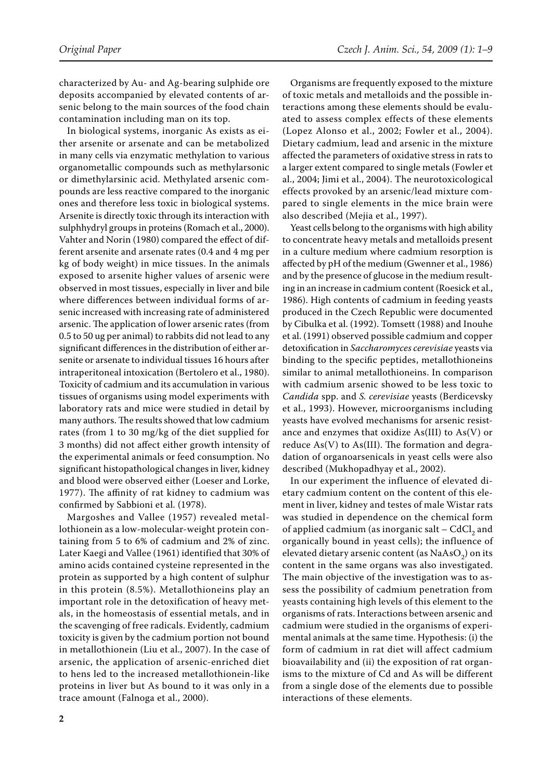characterized by Au- and Ag-bearing sulphide ore deposits accompanied by elevated contents of arsenic belong to the main sources of the food chain contamination including man on its top.

In biological systems, inorganic As exists as either arsenite or arsenate and can be metabolized in many cells via enzymatic methylation to various organometallic compounds such as methylarsonic or dimethylarsinic acid. Methylated arsenic compounds are less reactive compared to the inorganic ones and therefore less toxic in biological systems. Arsenite is directly toxic through its interaction with sulphhydryl groups in proteins (Romach et al., 2000). Vahter and Norin (1980) compared the effect of different arsenite and arsenate rates (0.4 and 4 mg per kg of body weight) in mice tissues. In the animals exposed to arsenite higher values of arsenic were observed in most tissues, especially in liver and bile where differences between individual forms of arsenic increased with increasing rate of administered arsenic. The application of lower arsenic rates (from 0.5 to 50 ug per animal) to rabbits did not lead to any significant differences in the distribution of either arsenite or arsenate to individual tissues 16 hours after intraperitoneal intoxication (Bertolero et al., 1980). Toxicity of cadmium and its accumulation in various tissues of organisms using model experiments with laboratory rats and mice were studied in detail by many authors. The results showed that low cadmium rates (from 1 to 30 mg/kg of the diet supplied for 3 months) did not affect either growth intensity of the experimental animals or feed consumption. No significant histopathological changes in liver, kidney and blood were observed either (Loeser and Lorke, 1977). The affinity of rat kidney to cadmium was confirmed by Sabbioni et al. (1978).

Margoshes and Vallee (1957) revealed metallothionein as a low-molecular-weight protein containing from 5 to 6% of cadmium and 2% of zinc. Later Kaegi and Vallee (1961) identified that 30% of amino acids contained cysteine represented in the protein as supported by a high content of sulphur in this protein (8.5%). Metallothioneins play an important role in the detoxification of heavy metals, in the homeostasis of essential metals, and in the scavenging of free radicals. Evidently, cadmium toxicity is given by the cadmium portion not bound in metallothionein (Liu et al., 2007). In the case of arsenic, the application of arsenic-enriched diet to hens led to the increased metallothionein-like proteins in liver but As bound to it was only in a trace amount (Falnoga et al., 2000).

Organisms are frequently exposed to the mixture of toxic metals and metalloids and the possible interactions among these elements should be evaluated to assess complex effects of these elements (Lopez Alonso et al., 2002; Fowler et al., 2004). Dietary cadmium, lead and arsenic in the mixture affected the parameters of oxidative stress in rats to a larger extent compared to single metals (Fowler et al., 2004; Jimi et al., 2004). The neurotoxicological effects provoked by an arsenic/lead mixture compared to single elements in the mice brain were also described (Mejia et al., 1997).

Yeast cells belong to the organisms with high ability to concentrate heavy metals and metalloids present in a culture medium where cadmium resorption is affected by pH of the medium (Gwenner et al., 1986) and by the presence of glucose in the medium resulting in an increase in cadmium content (Roesick et al., 1986). High contents of cadmium in feeding yeasts produced in the Czech Republic were documented by Cibulka et al. (1992). Tomsett (1988) and Inouhe et al. (1991) observed possible cadmium and copper detoxification in *Saccharomyces cerevisiae* yeasts via binding to the specific peptides, metallothioneins similar to animal metallothioneins. In comparison with cadmium arsenic showed to be less toxic to *Candida* spp. and *S. cerevisiae* yeasts (Berdicevsky et al., 1993). However, microorganisms including yeasts have evolved mechanisms for arsenic resistance and enzymes that oxidize As(III) to As(V) or reduce  $As(V)$  to  $As(III)$ . The formation and degradation of organoarsenicals in yeast cells were also described (Mukhopadhyay et al., 2002).

In our experiment the influence of elevated dietary cadmium content on the content of this element in liver, kidney and testes of male Wistar rats was studied in dependence on the chemical form of applied cadmium (as inorganic salt  $-$  CdCl<sub>2</sub> and organically bound in yeast cells); the influence of elevated dietary arsenic content (as  $NaAsO<sub>2</sub>$ ) on its content in the same organs was also investigated. The main objective of the investigation was to assess the possibility of cadmium penetration from yeasts containing high levels of this element to the organisms of rats. Interactions between arsenic and cadmium were studied in the organisms of experimental animals at the same time. Hypothesis: (i) the form of cadmium in rat diet will affect cadmium bioavailability and (ii) the exposition of rat organisms to the mixture of Cd and As will be different from a single dose of the elements due to possible interactions of these elements.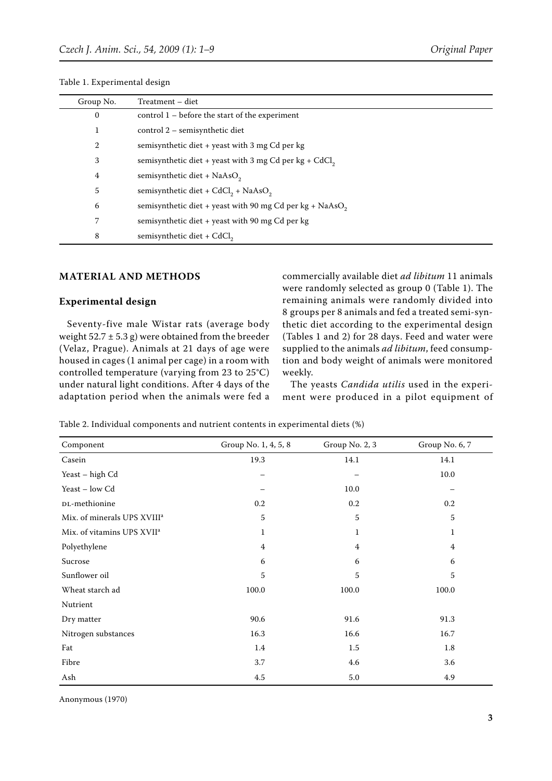| Group No.      | Treatment - diet                                                     |
|----------------|----------------------------------------------------------------------|
| $\mathbf{0}$   | control $1$ – before the start of the experiment                     |
| 1              | control 2 – semisynthetic diet                                       |
| $\overline{2}$ | semisynthetic diet + yeast with 3 mg Cd per kg                       |
| 3              | semisynthetic diet + yeast with 3 mg Cd per kg + CdCl,               |
| 4              | semisynthetic diet + $NaAsO2$                                        |
| 5              | semisynthetic diet + $CdCl_2$ + NaAsO <sub>2</sub>                   |
| 6              | semisynthetic diet + yeast with 90 mg Cd per kg + NaAsO <sub>2</sub> |
| 7              | semisynthetic diet + yeast with 90 mg Cd per kg                      |
| 8              | semisynthetic diet + CdCl <sub>2</sub>                               |

Table 1. Experimental design

### **MATERIAL AND METHODS**

#### **Experimental design**

Seventy-five male Wistar rats (average body weight  $52.7 \pm 5.3$  g) were obtained from the breeder (Velaz, Prague). Animals at 21 days of age were housed in cages (1 animal per cage) in a room with controlled temperature (varying from 23 to 25°C) under natural light conditions. After 4 days of the adaptation period when the animals were fed a

commercially available diet *ad libitum* 11 animals were randomly selected as group 0 (Table 1). The remaining animals were randomly divided into 8 groups per 8 animals and fed a treated semi-synthetic diet according to the experimental design (Tables 1 and 2) for 28 days. Feed and water were supplied to the animals *ad libitum*, feed consumption and body weight of animals were monitored weekly.

The yeasts *Candida utilis* used in the experiment were produced in a pilot equipment of

| Component                               | Group No. 1, 4, 5, 8 | Group No. 2, 3 | Group No. 6, 7 |
|-----------------------------------------|----------------------|----------------|----------------|
| Casein                                  | 19.3                 | 14.1           | 14.1           |
| Yeast - high Cd                         |                      |                | 10.0           |
| Yeast - low Cd                          |                      | 10.0           |                |
| DL-methionine                           | 0.2                  | 0.2            | 0.2            |
| Mix. of minerals UPS XVIII <sup>a</sup> | 5                    | 5              | 5              |
| Mix. of vitamins UPS XVII <sup>a</sup>  | 1                    | 1              | $\mathbf 1$    |
| Polyethylene                            | $\overline{4}$       | $\overline{4}$ | $\overline{4}$ |
| Sucrose                                 | 6                    | 6              | 6              |
| Sunflower oil                           | 5                    | 5              | 5              |
| Wheat starch ad                         | 100.0                | 100.0          | 100.0          |
| Nutrient                                |                      |                |                |
| Dry matter                              | 90.6                 | 91.6           | 91.3           |
| Nitrogen substances                     | 16.3                 | 16.6           | 16.7           |
| Fat                                     | 1.4                  | 1.5            | 1.8            |
| Fibre                                   | 3.7                  | 4.6            | 3.6            |
| Ash                                     | 4.5                  | 5.0            | 4.9            |

Table 2. Individual components and nutrient contents in experimental diets (%)

Anonymous (1970)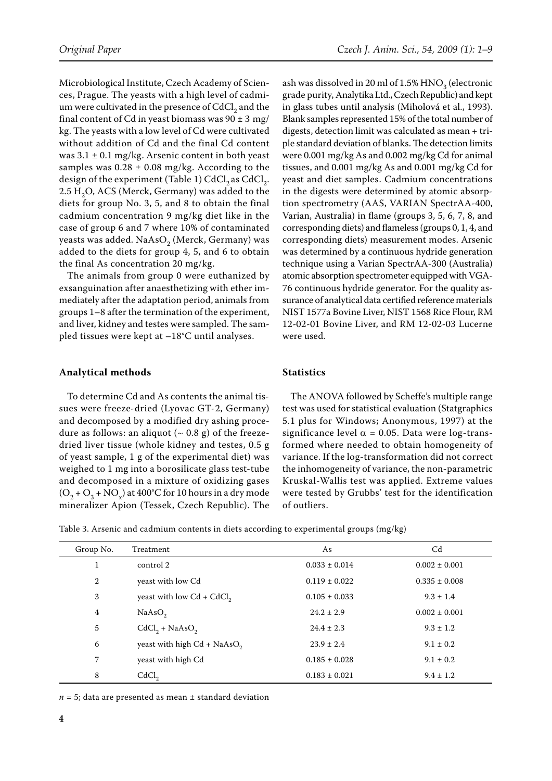Microbiological Institute, Czech Academy of Sciences, Prague. The yeasts with a high level of cadmium were cultivated in the presence of CdCl<sub>2</sub> and the final content of Cd in yeast biomass was  $90 \pm 3$  mg/ kg. The yeasts with a low level of Cd were cultivated without addition of Cd and the final Cd content was  $3.1 \pm 0.1$  mg/kg. Arsenic content in both yeast samples was  $0.28 \pm 0.08$  mg/kg. According to the design of the experiment (Table 1)  $CdCl<sub>2</sub>$  as  $CdCl<sub>2</sub>$ .  $2.5 H<sub>2</sub>O$ , ACS (Merck, Germany) was added to the diets for group No. 3, 5, and 8 to obtain the final cadmium concentration 9 mg/kg diet like in the case of group 6 and 7 where 10% of contaminated yeasts was added. NaAsO<sub>2</sub> (Merck, Germany) was added to the diets for group 4, 5, and 6 to obtain the final As concentration 20 mg/kg.

The animals from group 0 were euthanized by exsanguination after anaesthetizing with ether immediately after the adaptation period, animals from groups 1–8 after the termination of the experiment, and liver, kidney and testes were sampled. The sampled tissues were kept at –18°C until analyses.

## **Analytical methods**

To determine Cd and As contents the animal tissues were freeze-dried (Lyovac GT-2, Germany) and decomposed by a modified dry ashing procedure as follows: an aliquot ( $\sim$  0.8 g) of the freezedried liver tissue (whole kidney and testes, 0.5 g of yeast sample, 1 g of the experimental diet) was weighed to 1 mg into a borosilicate glass test-tube and decomposed in a mixture of oxidizing gases  $(O_2 + O_3 + NO_s)$  at 400°C for 10 hours in a dry mode mineralizer Apion (Tessek, Czech Republic). The

ash was dissolved in 20 ml of 1.5%  $HNO<sub>3</sub>$  (electronic grade purity, Analytika Ltd., Czech Republic) and kept in glass tubes until analysis (Miholová et al., 1993). Blank samples represented 15% of the total number of digests, detection limit was calculated as mean + triple standard deviation of blanks. The detection limits were 0.001 mg/kg As and 0.002 mg/kg Cd for animal tissues, and 0.001 mg/kg As and 0.001 mg/kg Cd for yeast and diet samples. Cadmium concentrations in the digests were determined by atomic absorption spectrometry (AAS, VARIAN SpectrAA-400, Varian, Australia) in flame (groups 3, 5, 6, 7, 8, and corresponding diets) and flameless (groups 0, 1, 4, and corresponding diets) measurement modes. Arsenic was determined by a continuous hydride generation technique using a Varian SpectrAA-300 (Australia) atomic absorption spectrometer equipped with VGA-76 continuous hydride generator. For the quality assurance of analytical data certified reference materials NIST 1577a Bovine Liver, NIST 1568 Rice Flour, RM 12-02-01 Bovine Liver, and RM 12-02-03 Lucerne were used.

## **Statistics**

The ANOVA followed by Scheffe's multiple range test was used for statistical evaluation (Statgraphics 5.1 plus for Windows; Anonymous, 1997) at the significance level  $\alpha = 0.05$ . Data were log-transformed where needed to obtain homogeneity of variance. If the log-transformation did not correct the inhomogeneity of variance, the non-parametric Kruskal-Wallis test was applied. Extreme values were tested by Grubbs' test for the identification of outliers.

Table 3. Arsenic and cadmium contents in diets according to experimental groups (mg/kg)

| Group No.      | Treatment                     | As                | C <sub>d</sub>    |
|----------------|-------------------------------|-------------------|-------------------|
| 1              | control 2                     | $0.033 \pm 0.014$ | $0.002 \pm 0.001$ |
| $\overline{2}$ | yeast with low Cd             | $0.119 \pm 0.022$ | $0.335 \pm 0.008$ |
| 3              | yeast with low $Cd + CdCl2$   | $0.105 \pm 0.033$ | $9.3 \pm 1.4$     |
| 4              | NaAsO <sub>2</sub>            | $24.2 \pm 2.9$    | $0.002 \pm 0.001$ |
| 5              | $CdCl2 + NaAsO2$              | $24.4 \pm 2.3$    | $9.3 \pm 1.2$     |
| 6              | yeast with high $Cd + NaAsO2$ | $23.9 \pm 2.4$    | $9.1 \pm 0.2$     |
| 7              | yeast with high Cd            | $0.185 \pm 0.028$ | $9.1 \pm 0.2$     |
| 8              | CdCl <sub>2</sub>             | $0.183 \pm 0.021$ | $9.4 \pm 1.2$     |

 $n = 5$ ; data are presented as mean  $\pm$  standard deviation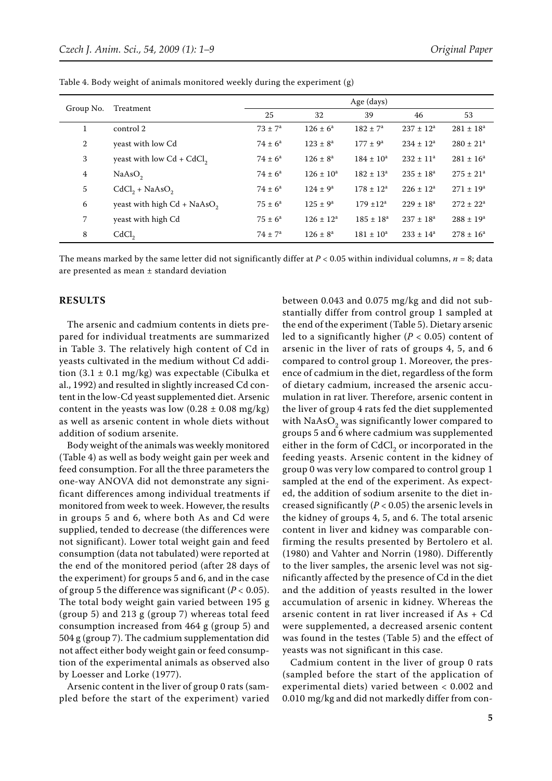| Group No.    | Treatment                     | Age (days)         |                |                     |                |                           |
|--------------|-------------------------------|--------------------|----------------|---------------------|----------------|---------------------------|
|              |                               | 25                 | 32             | 39                  | 46             | 53                        |
| $\mathbf{1}$ | control 2                     | $73 \pm 7^{\circ}$ | $126 \pm 6^a$  | $182 \pm 7^a$       | $237 \pm 12^a$ | $281 \pm 18^a$            |
| 2            | yeast with low Cd             | $74 \pm 6^a$       | $123 \pm 8^a$  | $177 \pm 9^{\rm a}$ | $234 \pm 12^a$ | $280 \pm 21$ <sup>a</sup> |
| 3            | yeast with low $Cd + CdCl2$   | $74 \pm 6^a$       | $126 \pm 8^a$  | $184 \pm 10^a$      | $232 \pm 11^a$ | $281 \pm 16^a$            |
| 4            | NaAsO <sub>2</sub>            | $74 \pm 6^{\circ}$ | $126 \pm 10^a$ | $182 \pm 13^a$      | $235 \pm 18^a$ | $275 \pm 21^a$            |
| 5            | $CdCl2 + NaAsO2$              | $74 \pm 6^a$       | $124 \pm 9^a$  | $178 \pm 12^a$      | $226 \pm 12^a$ | $271 \pm 19^a$            |
| 6            | yeast with high $Cd + NaAsO2$ | $75 \pm 6^{\circ}$ | $125 \pm 9^a$  | $179 \pm 12^a$      | $229 \pm 18^a$ | $272 \pm 22^a$            |
| 7            | yeast with high Cd            | $75 \pm 6^{\circ}$ | $126 \pm 12^a$ | $185 \pm 18^a$      | $237 \pm 18^a$ | $288 \pm 19^a$            |
| 8            | CdCl <sub>2</sub>             | $74 \pm 7^{\circ}$ | $126 \pm 8^a$  | $181 \pm 10^a$      | $233 \pm 14^a$ | $278 \pm 16^a$            |

Table 4. Body weight of animals monitored weekly during the experiment (g)

The means marked by the same letter did not significantly differ at  $P < 0.05$  within individual columns,  $n = 8$ ; data are presented as mean ± standard deviation

## **RESULTS**

The arsenic and cadmium contents in diets prepared for individual treatments are summarized in Table 3. The relatively high content of Cd in yeasts cultivated in the medium without Cd addition  $(3.1 \pm 0.1 \text{ mg/kg})$  was expectable (Cibulka et al., 1992) and resulted in slightly increased Cd content in the low-Cd yeast supplemented diet. Arsenic content in the yeasts was low  $(0.28 \pm 0.08 \text{ mg/kg})$ as well as arsenic content in whole diets without addition of sodium arsenite.

Body weight of the animals was weekly monitored (Table 4) as well as body weight gain per week and feed consumption. For all the three parameters the one-way ANOVA did not demonstrate any significant differences among individual treatments if monitored from week to week. However, the results in groups 5 and 6, where both As and Cd were supplied, tended to decrease (the differences were not significant). Lower total weight gain and feed consumption (data not tabulated) were reported at the end of the monitored period (after 28 days of the experiment) for groups 5 and 6, and in the case of group 5 the difference was significant (*P* < 0.05). The total body weight gain varied between 195 g (group 5) and 213 g (group 7) whereas total feed consumption increased from 464 g (group 5) and 504 g (group 7). The cadmium supplementation did not affect either body weight gain or feed consumption of the experimental animals as observed also by Loesser and Lorke (1977).

Arsenic content in the liver of group 0 rats (sampled before the start of the experiment) varied between 0.043 and 0.075 mg/kg and did not substantially differ from control group 1 sampled at the end of the experiment (Table 5). Dietary arsenic led to a significantly higher ( $P < 0.05$ ) content of arsenic in the liver of rats of groups 4, 5, and 6 compared to control group 1. Moreover, the presence of cadmium in the diet, regardless of the form of dietary cadmium, increased the arsenic accumulation in rat liver. Therefore, arsenic content in the liver of group 4 rats fed the diet supplemented with  $NaAsO<sub>2</sub>$  was significantly lower compared to groups 5 and 6 where cadmium was supplemented either in the form of  $CdCl<sub>2</sub>$  or incorporated in the feeding yeasts. Arsenic content in the kidney of group 0 was very low compared to control group 1 sampled at the end of the experiment. As expected, the addition of sodium arsenite to the diet increased significantly (*P* < 0.05) the arsenic levels in the kidney of groups 4, 5, and 6. The total arsenic content in liver and kidney was comparable confirming the results presented by Bertolero et al. (1980) and Vahter and Norrin (1980). Differently to the liver samples, the arsenic level was not significantly affected by the presence of Cd in the diet and the addition of yeasts resulted in the lower accumulation of arsenic in kidney. Whereas the arsenic content in rat liver increased if As + Cd were supplemented, a decreased arsenic content was found in the testes (Table 5) and the effect of yeasts was not significant in this case.

Cadmium content in the liver of group 0 rats (sampled before the start of the application of experimental diets) varied between < 0.002 and 0.010 mg/kg and did not markedly differ from con-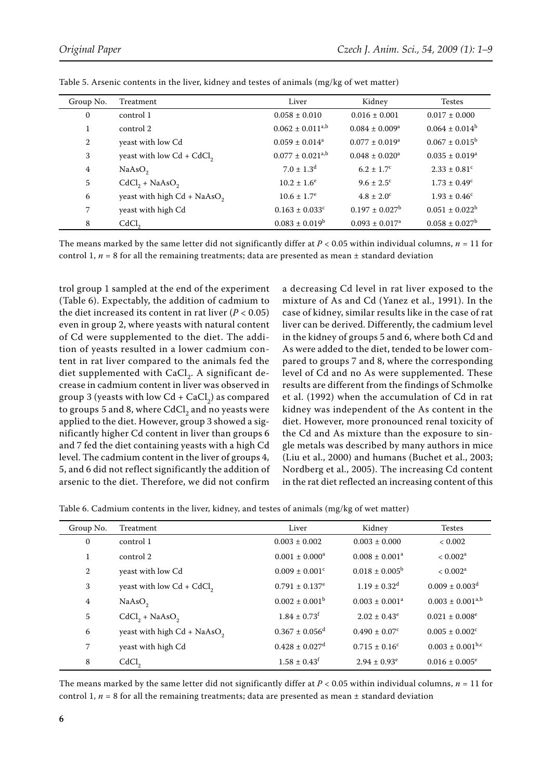| Group No.    | Treatment                     | Liver                            | Kidney                    | Testes                       |
|--------------|-------------------------------|----------------------------------|---------------------------|------------------------------|
| $\mathbf{0}$ | control 1                     | $0.058 \pm 0.010$                | $0.016 \pm 0.001$         | $0.017 \pm 0.000$            |
|              | control 2                     | $0.062 \pm 0.011^{a,b}$          | $0.084 \pm 0.009^a$       | $0.064 \pm 0.014^b$          |
| 2            | yeast with low Cd             | $0.059 \pm 0.014^a$              | $0.077 \pm 0.019^a$       | $0.067 \pm 0.015^b$          |
| 3            | yeast with low $Cd + CdCl2$   | $0.077 \pm 0.021$ <sup>a,b</sup> | $0.048 \pm 0.020^a$       | $0.035 \pm 0.019^a$          |
| 4            | NaAsO <sub>2</sub>            | $7.0 \pm 1.3$ <sup>d</sup>       | $6.2 \pm 1.7^{\circ}$     | $2.33 \pm 0.81$ <sup>c</sup> |
| 5            | $CdCl2 + NaAsO2$              | $10.2 \pm 1.6^e$                 | $9.6 \pm 2.5^{\circ}$     | $1.73 \pm 0.49^{\circ}$      |
| 6            | yeast with high $Cd + NaAsO2$ | $10.6 \pm 1.7^e$                 | $4.8 \pm 2.0^{\circ}$     | $1.93 \pm 0.46^{\circ}$      |
| 7            | yeast with high Cd            | $0.163 \pm 0.033^c$              | $0.197 \pm 0.027^{\rm b}$ | $0.051 \pm 0.022^b$          |
| 8            | CdCl <sub>2</sub>             | $0.083 \pm 0.019^b$              | $0.093 \pm 0.017^a$       | $0.058 \pm 0.027^b$          |

Table 5. Arsenic contents in the liver, kidney and testes of animals (mg/kg of wet matter)

The means marked by the same letter did not significantly differ at  $P < 0.05$  within individual columns,  $n = 11$  for control 1,  $n = 8$  for all the remaining treatments; data are presented as mean  $\pm$  standard deviation

trol group 1 sampled at the end of the experiment (Table 6). Expectably, the addition of cadmium to the diet increased its content in rat liver  $(P < 0.05)$ even in group 2, where yeasts with natural content of Cd were supplemented to the diet. The addition of yeasts resulted in a lower cadmium content in rat liver compared to the animals fed the diet supplemented with  $CaCl<sub>2</sub>$ . A significant decrease in cadmium content in liver was observed in group 3 (yeasts with low  $Cd + CaCl<sub>2</sub>$ ) as compared to groups 5 and 8, where  $CdCl<sub>2</sub>$  and no yeasts were applied to the diet. However, group 3 showed a significantly higher Cd content in liver than groups 6 and 7 fed the diet containing yeasts with a high Cd level. The cadmium content in the liver of groups 4, 5, and 6 did not reflect significantly the addition of arsenic to the diet. Therefore, we did not confirm a decreasing Cd level in rat liver exposed to the mixture of As and Cd (Yanez et al., 1991). In the case of kidney, similar results like in the case of rat liver can be derived. Differently, the cadmium level in the kidney of groups 5 and 6, where both Cd and As were added to the diet, tended to be lower compared to groups 7 and 8, where the corresponding level of Cd and no As were supplemented. These results are different from the findings of Schmolke et al. (1992) when the accumulation of Cd in rat kidney was independent of the As content in the diet. However, more pronounced renal toxicity of the Cd and As mixture than the exposure to single metals was described by many authors in mice (Liu et al., 2000) and humans (Buchet et al., 2003; Nordberg et al., 2005). The increasing Cd content in the rat diet reflected an increasing content of this

Table 6. Cadmium contents in the liver, kidney, and testes of animals (mg/kg of wet matter)

| Group No.   | Treatment                     | Liver                          | Kidney                        | <b>Testes</b>                  |
|-------------|-------------------------------|--------------------------------|-------------------------------|--------------------------------|
| $\mathbf 0$ | control 1                     | $0.003 \pm 0.002$              | $0.003 \pm 0.000$             | < 0.002                        |
|             | control 2                     | $0.001 \pm 0.000^a$            | $0.008 \pm 0.001^a$           | $< 0.002^a$                    |
| 2           | yeast with low Cd             | $0.009 \pm 0.001^{\circ}$      | $0.018 \pm 0.005^{\circ}$     | $< 0.002^a$                    |
| 3           | yeast with low $Cd + CdCl2$   | $0.791 \pm 0.137$ <sup>e</sup> | $1.19 \pm 0.32$ <sup>d</sup>  | $0.009 \pm 0.003$ <sup>d</sup> |
| 4           | NaAsO <sub>2</sub>            | $0.002 \pm 0.001^{\rm b}$      | $0.003 \pm 0.001^a$           | $0.003 \pm 0.001^{a,b}$        |
| 5           | $CdCl2 + NaAsO2$              | $1.84 \pm 0.73$ <sup>f</sup>   | $2.02 \pm 0.43^e$             | $0.021 \pm 0.008$ <sup>e</sup> |
| 6           | yeast with high $Cd + NaAsO2$ | $0.367 \pm 0.056$ <sup>d</sup> | $0.490 \pm 0.07$ <sup>c</sup> | $0.005 \pm 0.002$ <sup>c</sup> |
| 7           | yeast with high Cd            | $0.428 \pm 0.027$ <sup>d</sup> | $0.715 \pm 0.16^c$            | $0.003 \pm 0.001^{b,c}$        |
| 8           | CdCl <sub>2</sub>             | $1.58 \pm 0.43$ <sup>f</sup>   | $2.94 \pm 0.93^e$             | $0.016 \pm 0.005^e$            |

The means marked by the same letter did not significantly differ at  $P < 0.05$  within individual columns,  $n = 11$  for control 1,  $n = 8$  for all the remaining treatments; data are presented as mean  $\pm$  standard deviation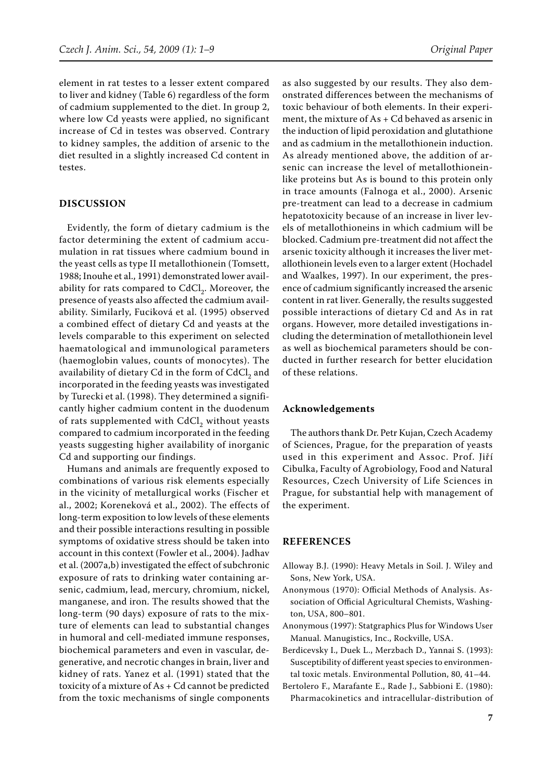element in rat testes to a lesser extent compared to liver and kidney (Table 6) regardless of the form of cadmium supplemented to the diet. In group 2, where low Cd yeasts were applied, no significant increase of Cd in testes was observed. Contrary to kidney samples, the addition of arsenic to the diet resulted in a slightly increased Cd content in testes.

## **DISCUSSION**

Evidently, the form of dietary cadmium is the factor determining the extent of cadmium accumulation in rat tissues where cadmium bound in the yeast cells as type II metallothionein (Tomsett, 1988; Inouhe et al., 1991) demonstrated lower availability for rats compared to  $CdCl<sub>2</sub>$ . Moreover, the presence of yeasts also affected the cadmium availability. Similarly, Fuciková et al. (1995) observed a combined effect of dietary Cd and yeasts at the levels comparable to this experiment on selected haematological and immunological parameters (haemoglobin values, counts of monocytes). The availability of dietary Cd in the form of CdCl<sub>2</sub> and incorporated in the feeding yeasts was investigated by Turecki et al. (1998). They determined a significantly higher cadmium content in the duodenum of rats supplemented with CdCl<sub>2</sub> without yeasts compared to cadmium incorporated in the feeding yeasts suggesting higher availability of inorganic Cd and supporting our findings.

Humans and animals are frequently exposed to combinations of various risk elements especially in the vicinity of metallurgical works (Fischer et al., 2002; Koreneková et al., 2002). The effects of long-term exposition to low levels of these elements and their possible interactions resulting in possible symptoms of oxidative stress should be taken into account in this context (Fowler et al., 2004). Jadhav et al. (2007a,b) investigated the effect of subchronic exposure of rats to drinking water containing arsenic, cadmium, lead, mercury, chromium, nickel, manganese, and iron. The results showed that the long-term (90 days) exposure of rats to the mixture of elements can lead to substantial changes in humoral and cell-mediated immune responses, biochemical parameters and even in vascular, degenerative, and necrotic changes in brain, liver and kidney of rats. Yanez et al. (1991) stated that the toxicity of a mixture of As + Cd cannot be predicted from the toxic mechanisms of single components

as also suggested by our results. They also demonstrated differences between the mechanisms of toxic behaviour of both elements. In their experiment, the mixture of As + Cd behaved as arsenic in the induction of lipid peroxidation and glutathione and as cadmium in the metallothionein induction. As already mentioned above, the addition of arsenic can increase the level of metallothioneinlike proteins but As is bound to this protein only in trace amounts (Falnoga et al., 2000). Arsenic pre-treatment can lead to a decrease in cadmium hepatotoxicity because of an increase in liver levels of metallothioneins in which cadmium will be blocked. Cadmium pre-treatment did not affect the arsenic toxicity although it increases the liver metallothionein levels even to a larger extent (Hochadel and Waalkes, 1997). In our experiment, the presence of cadmium significantly increased the arsenic content in rat liver. Generally, the results suggested possible interactions of dietary Cd and As in rat organs. However, more detailed investigations including the determination of metallothionein level as well as biochemical parameters should be conducted in further research for better elucidation of these relations.

### **Acknowledgements**

The authors thank Dr. Petr Kujan, Czech Academy of Sciences, Prague, for the preparation of yeasts used in this experiment and Assoc. Prof. Jiří Cibulka, Faculty of Agrobiology, Food and Natural Resources, Czech University of Life Sciences in Prague, for substantial help with management of the experiment.

## **REFERENCES**

- Alloway B.J. (1990): Heavy metals in soil. J. Wiley and Sons, New York, USA.
- Anonymous (1970): Official Methods of Analysis. Association of Official Agricultural Chemists, Washington, USA, 800–801.
- Anonymous (1997): Statgraphics Plus for Windows User Manual. Manugistics, Inc., Rockville, USA.
- Berdicevsky I., Duek L., Merzbach D., Yannai S. (1993): Susceptibility of different yeast species to environmental toxic metals. Environmental Pollution, 80, 41–44.
- Bertolero F., Marafante E., Rade J., Sabbioni E. (1980): Pharmacokinetics and intracellular-distribution of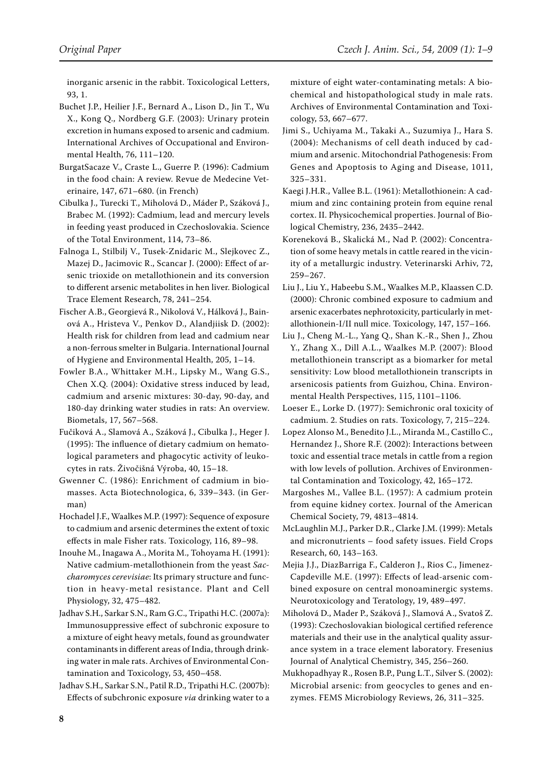inorganic arsenic in the rabbit. Toxicological Letters, 93, 1.

Buchet J.P., Heilier J.F., Bernard A., Lison D., Jin T., Wu X., Kong Q., Nordberg G.F. (2003): Urinary protein excretion in humans exposed to arsenic and cadmium. International Archives of Occupational and Environmental Health, 76, 111–120.

- BurgatSacaze V., Craste L., Guerre P. (1996): Cadmium in the food chain: A review. Revue de Medecine Veterinaire, 147, 671–680. (in French)
- Cibulka J., Turecki T., Miholová D., Máder P., Száková J., Brabec M. (1992): Cadmium, lead and mercury levels in feeding yeast produced in Czechoslovakia. Science of the Total Environment, 114, 73–86.

Falnoga I., Stilbilj V., Tusek-Znidaric M., Slejkovec Z., Mazej D., Jacimovic R., Scancar J. (2000): Effect of arsenic trioxide on metallothionein and its conversion to different arsenic metabolites in hen liver. Biological Trace Element Research, 78, 241–254.

Fischer A.B., Georgievá R., Nikolová V., Hálková J., Bainová A., Hristeva V., Penkov D., Alandjiisk D. (2002): Health risk for children from lead and cadmium near a non-ferrous smelter in Bulgaria. International Journal of Hygiene and Environmental Health, 205, 1–14.

Fowler B.A., Whittaker M.H., Lipsky M., Wang G.S., Chen X.Q. (2004): Oxidative stress induced by lead, cadmium and arsenic mixtures: 30-day, 90-day, and 180-day drinking water studies in rats: An overview. Biometals, 17, 567–568.

Fučiková A., Slamová A., Száková J., Cibulka J., Heger J. (1995): The influence of dietary cadmium on hematological parameters and phagocytic activity of leukocytes in rats. Živočišná Výroba, 40, 15–18.

Gwenner C. (1986): Enrichment of cadmium in biomasses. Acta Biotechnologica, 6, 339–343. (in German)

Hochadel J.F., Waalkes M.P. (1997): Sequence of exposure to cadmium and arsenic determines the extent of toxic effects in male Fisher rats. Toxicology, 116, 89–98.

Inouhe M., Inagawa A., Morita M., Tohoyama H. (1991): Native cadmium-metallothionein from the yeast *Saccharomyces cerevisiae*: Its primary structure and function in heavy-metal resistance. Plant and Cell Physiology, 32, 475–482.

Jadhav S.H., Sarkar S.N., Ram G.C., Tripathi H.C. (2007a): Immunosuppressive effect of subchronic exposure to a mixture of eight heavy metals, found as groundwater contaminants in different areas of India, through drinking water in male rats. Archives of Environmental Contamination and Toxicology, 53, 450–458.

Jadhav S.H., Sarkar S.N., Patil R.D., Tripathi H.C. (2007b): Effects of subchronic exposure *via* drinking water to a

mixture of eight water-contaminating metals: A biochemical and histopathological study in male rats. Archives of Environmental Contamination and Toxicology, 53, 667–677.

Jimi S., Uchiyama M., Takaki A., Suzumiya J., Hara S. (2004): Mechanisms of cell death induced by cadmium and arsenic. Mitochondrial Pathogenesis: From Genes and Apoptosis to Aging and Disease, 1011, 325–331.

Kaegi J.H.R., Vallee B.L. (1961): Metallothionein: A cadmium and zinc containing protein from equine renal cortex. II. Physicochemical properties. Journal of Biological Chemistry, 236, 2435–2442.

Koreneková B., Skalická M., Nad P. (2002): Concentration of some heavy metals in cattle reared in the vicinity of a metallurgic industry. Veterinarski Arhiv, 72, 259–267.

Liu J., Liu Y., Habeebu S.M., Waalkes M.P., Klaassen C.D. (2000): Chronic combined exposure to cadmium and arsenic exacerbates nephrotoxicity, particularly in metallothionein-I/II null mice. Toxicology, 147, 157–166.

Liu J., Cheng M.-L., Yang Q., Shan K.-R., Shen J., Zhou Y., Zhang X., Dill A.L., Waalkes M.P. (2007): Blood metallothionein transcript as a biomarker for metal sensitivity: Low blood metallothionein transcripts in arsenicosis patients from Guizhou, China. Environmental Health Perspectives, 115, 1101–1106.

Loeser E., Lorke D. (1977): Semichronic oral toxicity of cadmium. 2. Studies on rats. Toxicology, 7, 215–224.

Lopez Alonso M., Benedito J.L., Miranda M., Castillo C., Hernandez J., Shore R.F. (2002): Interactions between toxic and essential trace metals in cattle from a region with low levels of pollution. Archives of Environmental Contamination and Toxicology, 42, 165–172.

Margoshes M., Vallee B.L. (1957): A cadmium protein from equine kidney cortex. Journal of the American Chemical Society, 79, 4813–4814.

McLaughlin M.J., Parker D.R., Clarke J.M. (1999): Metals and micronutrients – food safety issues. Field Crops Research, 60, 143–163.

Mejia J.J., DiazBarriga F., Calderon J., Rios C., Jimenez-Capdeville M.E. (1997): Effects of lead-arsenic combined exposure on central monoaminergic systems. Neurotoxicology and Teratology, 19, 489–497.

Miholová D., Mader P., Száková J., Slamová A., Svatoš Z. (1993): Czechoslovakian biological certified reference materials and their use in the analytical quality assurance system in a trace element laboratory. Fresenius Journal of Analytical Chemistry, 345, 256–260.

Mukhopadhyay R., Rosen B.P., Pung L.T., Silver S. (2002): Microbial arsenic: from geocycles to genes and enzymes. FEMS Microbiology Reviews, 26, 311–325.